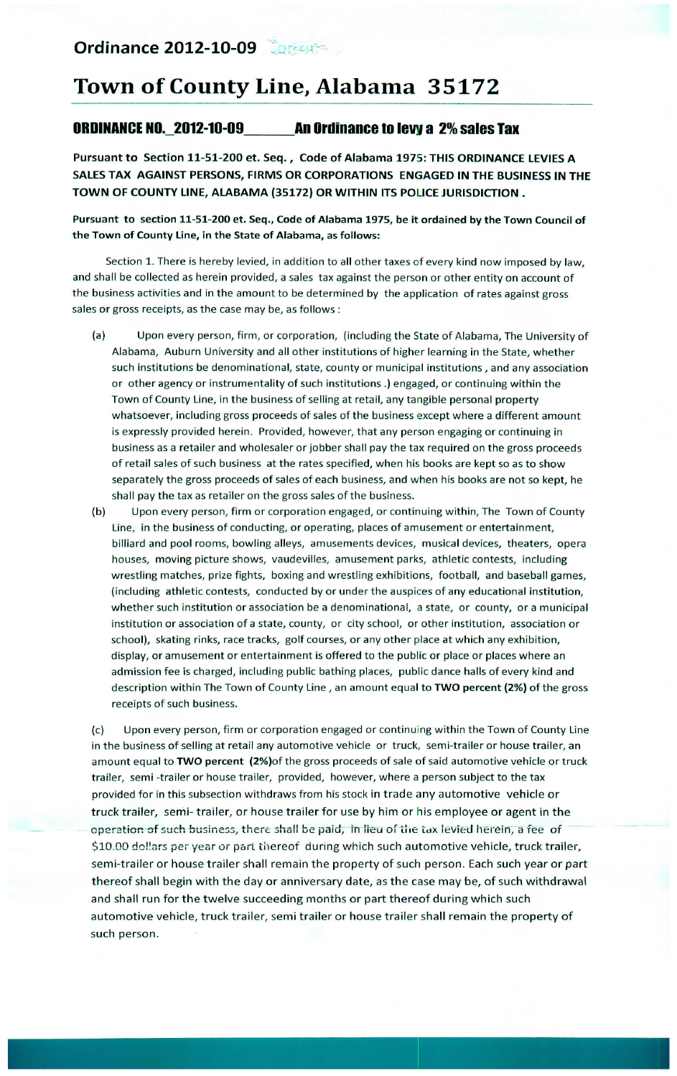## Town of County Line, Alabama 35172

## **ORDINANCE NO. 2012-10-09** An Ordinance to levy a 2% sales Tax

Pursuant to Section 11-51-200 et. Seq., Code of Alabama 1975: THIS ORDINANCE LEVIES A SALES TAX AGAINST PERSONS, FIRMS OR CORPORATIONS ENGAGED IN THE BUSINESS IN THE TOWN OF COUNTY LINE, ALABAMA (35172) OR WITHIN ITS POLICE JURISDICTION.

Pursuant to section 11-51-200 et. Seq., Code of Alabama 1975, be it ordained by the Town Council of the Town of County Line, in the State of Alabama, as follows:

Section 1. There is hereby levied, in addition to all other taxes of every kind now imposed by law, and shall be collected as herein provided, a sales tax against the person or other entity on account of the business activities and in the amount to be determined by the application of rates against gross sales or gross receipts, as the case may be, as follows :

- $(a)$ Upon every person, firm, or corporation, (including the State of Alabama, The University of Alabama, Auburn University and all other institutions of higher learning in the State, whether such institutions be denominational, state, county or municipal institutions, and any association or other agency or instrumentality of such institutions .) engaged, or continuing within the Town of County Line, in the business of selling at retail, any tangible personal property whatsoever, including gross proceeds of sales of the business except where a different amount is expressly provided herein. Provided, however, that any person engaging or continuing in business as a retailer and wholesaler or jobber shall pay the tax required on the gross proceeds of retail sales of such business at the rates specified, when his books are kept so as to show separately the gross proceeds of sales of each business, and when his books are not so kept, he shall pay the tax as retailer on the gross sales of the business.
- $(b)$ Upon every person, firm or corporation engaged, or continuing within, The Town of County Line, in the business of conducting, or operating, places of amusement or entertainment, billiard and pool rooms, bowling alleys, amusements devices, musical devices, theaters, opera houses, moving picture shows, vaudevilles, amusement parks, athletic contests, including wrestling matches, prize fights, boxing and wrestling exhibitions, football, and baseball games, (including athletic contests, conducted by or under the auspices of any educational institution, whether such institution or association be a denominational, a state, or county, or a municipal institution or association of a state, county, or city school, or other institution, association or school), skating rinks, race tracks, golf courses, or any other place at which any exhibition, display, or amusement or entertainment is offered to the public or place or places where an admission fee is charged, including public bathing places, public dance halls of every kind and description within The Town of County Line, an amount equal to TWO percent (2%) of the gross receipts of such business.

 $(c)$ Upon every person, firm or corporation engaged or continuing within the Town of County Line in the business of selling at retail any automotive vehicle or truck, semi-trailer or house trailer, an amount equal to TWO percent (2%) of the gross proceeds of sale of said automotive vehicle or truck trailer, semi-trailer or house trailer, provided, however, where a person subject to the tax provided for in this subsection withdraws from his stock in trade any automotive vehicle or truck trailer, semi-trailer, or house trailer for use by him or his employee or agent in the operation of such business, there shall be paid, in lieu of the tax levied herein, a fee of \$10.00 dollars per year or part thereof during which such automotive vehicle, truck trailer, semi-trailer or house trailer shall remain the property of such person. Each such year or part thereof shall begin with the day or anniversary date, as the case may be, of such withdrawal and shall run for the twelve succeeding months or part thereof during which such automotive vehicle, truck trailer, semi trailer or house trailer shall remain the property of such person.